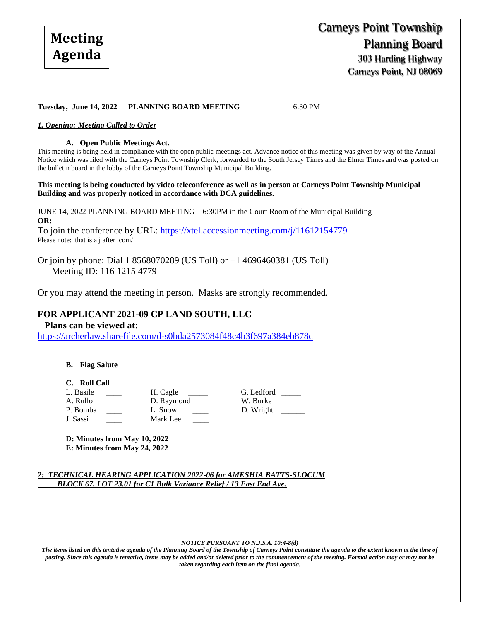## **Tuesday, June 14, 2022 PLANNING BOARD MEETING** 6:30 PM

### *1. Opening: Meeting Called to Order*

#### **A. Open Public Meetings Act.**

This meeting is being held in compliance with the open public meetings act. Advance notice of this meeting was given by way of the Annual Notice which was filed with the Carneys Point Township Clerk, forwarded to the South Jersey Times and the Elmer Times and was posted on the bulletin board in the lobby of the Carneys Point Township Municipal Building.

**This meeting is being conducted by video teleconference as well as in person at Carneys Point Township Municipal Building and was properly noticed in accordance with DCA guidelines.**

JUNE 14, 2022 PLANNING BOARD MEETING – 6:30PM in the Court Room of the Municipal Building **OR:**

To join the conference by URL:<https://xtel.accessionmeeting.com/j/11612154779> Please note: that is a j after .com/

Or join by phone: Dial 1 8568070289 (US Toll) or +1 4696460381 (US Toll) Meeting ID: 116 1215 4779

Or you may attend the meeting in person. Masks are strongly recommended.

## **FOR APPLICANT 2021-09 CP LAND SOUTH, LLC**

## **Plans can be viewed at:**

<https://archerlaw.sharefile.com/d-s0bda2573084f48c4b3f697a384eb878c>

**B. Flag Salute**

#### **C. Roll Call**

L. Basile \_\_\_\_ H. Cagle \_\_\_\_ G. Ledford \_\_\_\_ A. Rullo \_\_\_\_\_ D. Raymond \_\_\_\_ W. Burke P. Bomba \_\_\_\_ L. Snow \_\_\_ D. Wright \_ J. Sassi Mark Lee

**D: Minutes from May 10, 2022 E: Minutes from May 24, 2022** 

*2: TECHNICAL HEARING APPLICATION 2022-06 for AMESHIA BATTS-SLOCUM BLOCK 67, LOT 23.01 for C1 Bulk Variance Relief / 13 East End Ave.*

#### *NOTICE PURSUANT TO N.J.S.A. 10:4-8(d)*

*The items listed on this tentative agenda of the Planning Board of the Township of Carneys Point constitute the agenda to the extent known at the time of posting. Since this agenda is tentative, items may be added and/or deleted prior to the commencement of the meeting. Formal action may or may not be taken regarding each item on the final agenda.*